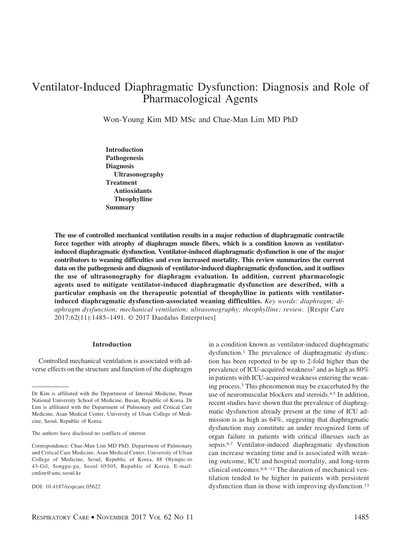# Ventilator-Induced Diaphragmatic Dysfunction: Diagnosis and Role of Pharmacological Agents

Won-Young Kim MD MSc and Chae-Man Lim MD PhD

**Introduction Pathogenesis Diagnosis Ultrasonography Treatment Antioxidants Theophylline Summary**

**The use of controlled mechanical ventilation results in a major reduction of diaphragmatic contractile force together with atrophy of diaphragm muscle fibers, which is a condition known as ventilatorinduced diaphragmatic dysfunction. Ventilator-induced diaphragmatic dysfunction is one of the major contributors to weaning difficulties and even increased mortality. This review summarizes the current data on the pathogenesis and diagnosis of ventilator-induced diaphragmatic dysfunction, and it outlines the use of ultrasonography for diaphragm evaluation. In addition, current pharmacologic agents used to mitigate ventilator-induced diaphragmatic dysfunction are described, with a particular emphasis on the therapeutic potential of theophylline in patients with ventilatorinduced diaphragmatic dysfunction-associated weaning difficulties.** *Key words: diaphragm; diaphragm dysfunction; mechanical ventilation; ultrasonography; theophylline; review.* [Respir Care 2017;62(11):1485–1491. © 2017 Daedalus Enterprises]

## **Introduction**

Controlled mechanical ventilation is associated with adverse effects on the structure and function of the diaphragm in a condition known as ventilator-induced diaphragmatic dysfunction.1 The prevalence of diaphragmatic dysfunction has been reported to be up to 2-fold higher than the prevalence of ICU-acquired weakness<sup>2</sup> and as high as 80% in patients with ICU-acquired weakness entering the weaning process.3 This phenomenon may be exacerbated by the use of neuromuscular blockers and steroids.4,5 In addition, recent studies have shown that the prevalence of diaphragmatic dysfunction already present at the time of ICU admission is as high as 64%, suggesting that diaphragmatic dysfunction may constitute an under recognized form of organ failure in patients with critical illnesses such as sepsis.6,7 Ventilator-induced diaphragmatic dysfunction can increase weaning time and is associated with weaning outcome, ICU and hospital mortality, and long-term clinical outcomes.6,8 –12 The duration of mechanical ventilation tended to be higher in patients with persistent dysfunction than in those with improving dysfunction.<sup>13</sup>

Dr Kim is affiliated with the Department of Internal Medicine, Pusan National University School of Medicine, Busan, Republic of Korea. Dr Lim is affiliated with the Department of Pulmonary and Critical Care Medicine, Asan Medical Center, University of Ulsan College of Medicine, Seoul, Republic of Korea.

The authors have disclosed no conflicts of interest.

Correspondence: Chae-Man Lim MD PhD, Department of Pulmonary and Critical Care Medicine, Asan Medical Center, University of Ulsan College of Medicine, Seoul, Republic of Korea, 88 Olympic-ro 43-Gil, Songpa-gu, Seoul 05505, Republic of Korea. E-mail: cmlim@amc.seoul.kr

DOI: 10.4187/respcare.05622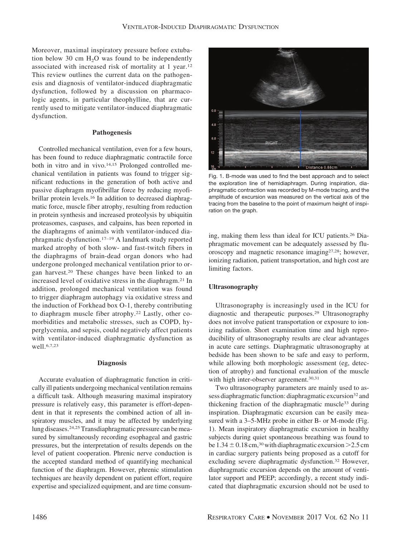Moreover, maximal inspiratory pressure before extubation below 30 cm  $H_2O$  was found to be independently associated with increased risk of mortality at 1 year.12 This review outlines the current data on the pathogenesis and diagnosis of ventilator-induced diaphragmatic dysfunction, followed by a discussion on pharmacologic agents, in particular theophylline, that are currently used to mitigate ventilator-induced diaphragmatic dysfunction.

#### **Pathogenesis**

Controlled mechanical ventilation, even for a few hours, has been found to reduce diaphragmatic contractile force both in vitro and in vivo.14,15 Prolonged controlled mechanical ventilation in patients was found to trigger significant reductions in the generation of both active and passive diaphragm myofibrillar force by reducing myofibrillar protein levels.16 In addition to decreased diaphragmatic force, muscle fiber atrophy, resulting from reduction in protein synthesis and increased proteolysis by ubiquitin proteasomes, caspases, and calpains, has been reported in the diaphragms of animals with ventilator-induced diaphragmatic dysfunction.17–19 A landmark study reported marked atrophy of both slow- and fast-twitch fibers in the diaphragms of brain-dead organ donors who had undergone prolonged mechanical ventilation prior to organ harvest.20 These changes have been linked to an increased level of oxidative stress in the diaphragm.21 In addition, prolonged mechanical ventilation was found to trigger diaphragm autophagy via oxidative stress and the induction of Forkhead box O-1, thereby contributing to diaphragm muscle fiber atrophy.22 Lastly, other comorbidities and metabolic stresses, such as COPD, hyperglycemia, and sepsis, could negatively affect patients with ventilator-induced diaphragmatic dysfunction as well.6,7,23

#### **Diagnosis**

Accurate evaluation of diaphragmatic function in critically ill patients undergoing mechanical ventilation remains a difficult task. Although measuring maximal inspiratory pressure is relatively easy, this parameter is effort-dependent in that it represents the combined action of all inspiratory muscles, and it may be affected by underlying lung diseases.24,25Transdiaphragmatic pressure can be measured by simultaneously recording esophageal and gastric pressures, but the interpretation of results depends on the level of patient cooperation. Phrenic nerve conduction is the accepted standard method of quantifying mechanical function of the diaphragm. However, phrenic stimulation techniques are heavily dependent on patient effort, require expertise and specialized equipment, and are time consum-



Fig. 1. B-mode was used to find the best approach and to select the exploration line of hemidiaphragm. During inspiration, diaphragmatic contraction was recorded by M-mode tracing, and the amplitude of excursion was measured on the vertical axis of the tracing from the baseline to the point of maximum height of inspiration on the graph.

ing, making them less than ideal for ICU patients.26 Diaphragmatic movement can be adequately assessed by fluoroscopy and magnetic resonance imaging27,28; however, ionizing radiation, patient transportation, and high cost are limiting factors.

#### **Ultrasonography**

Ultrasonography is increasingly used in the ICU for diagnostic and therapeutic purposes.29 Ultrasonography does not involve patient transportation or exposure to ionizing radiation. Short examination time and high reproducibility of ultrasonography results are clear advantages in acute care settings. Diaphragmatic ultrasonography at bedside has been shown to be safe and easy to perform, while allowing both morphologic assessment (eg, detection of atrophy) and functional evaluation of the muscle with high inter-observer agreement.<sup>30,31</sup>

Two ultrasonography parameters are mainly used to assess diaphragmatic function: diaphragmatic excursion<sup>32</sup> and thickening fraction of the diaphragmatic muscle33 during inspiration. Diaphragmatic excursion can be easily measured with a 3–5-MHz probe in either B- or M-mode (Fig. 1). Mean inspiratory diaphragmatic excursion in healthy subjects during quiet spontaneous breathing was found to be  $1.34 \pm 0.18$  cm,<sup>30</sup> with diaphragmatic excursion  $>2.5$  cm in cardiac surgery patients being proposed as a cutoff for excluding severe diaphragmatic dysfunction.32 However, diaphragmatic excursion depends on the amount of ventilator support and PEEP; accordingly, a recent study indicated that diaphragmatic excursion should not be used to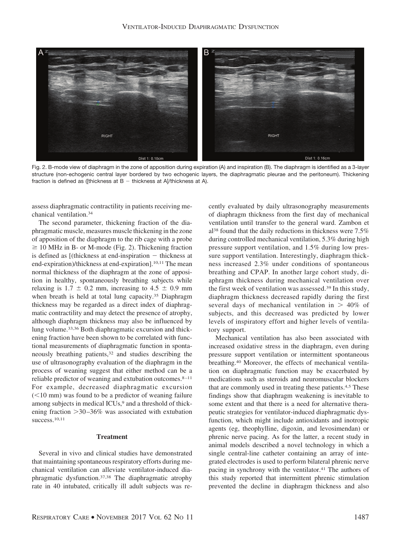

Fig. 2. B-mode view of diaphragm in the zone of apposition during expiration (A) and inspiration (B). The diaphragm is identified as a 3-layer structure (non-echogenic central layer bordered by two echogenic layers, the diaphragmatic pleurae and the peritoneum). Thickening fraction is defined as ([thickness at  $B -$  thickness at A]/thickness at A).

assess diaphragmatic contractility in patients receiving mechanical ventilation.34

The second parameter, thickening fraction of the diaphragmatic muscle, measures muscle thickening in the zone of apposition of the diaphragm to the rib cage with a probe  $\geq$  10 MHz in B- or M-mode (Fig. 2). Thickening fraction is defined as  $[$ (thickness at end-inspiration  $-$  thickness at end-expiration)/thickness at end-expiration].<sup>10,11</sup> The mean normal thickness of the diaphragm at the zone of apposition in healthy, spontaneously breathing subjects while relaxing is  $1.7 \pm 0.2$  mm, increasing to  $4.5 \pm 0.9$  mm when breath is held at total lung capacity.<sup>35</sup> Diaphragm thickness may be regarded as a direct index of diaphragmatic contractility and may detect the presence of atrophy, although diaphragm thickness may also be influenced by lung volume.33,36 Both diaphragmatic excursion and thickening fraction have been shown to be correlated with functional measurements of diaphragmatic function in spontaneously breathing patients,32 and studies describing the use of ultrasonography evaluation of the diaphragm in the process of weaning suggest that either method can be a reliable predictor of weaning and extubation outcomes.8 –11 For example, decreased diaphragmatic excursion  $(<10$  mm) was found to be a predictor of weaning failure among subjects in medical ICUs,<sup>9</sup> and a threshold of thickening fraction  $>30-36\%$  was associated with extubation success.10,11

## **Treatment**

Several in vivo and clinical studies have demonstrated that maintaining spontaneous respiratory efforts during mechanical ventilation can alleviate ventilator-induced diaphragmatic dysfunction.37,38 The diaphragmatic atrophy rate in 40 intubated, critically ill adult subjects was recently evaluated by daily ultrasonography measurements of diaphragm thickness from the first day of mechanical ventilation until transfer to the general ward. Zambon et al38 found that the daily reductions in thickness were 7.5% during controlled mechanical ventilation, 5.3% during high pressure support ventilation, and 1.5% during low pressure support ventilation. Interestingly, diaphragm thickness increased 2.3% under conditions of spontaneous breathing and CPAP. In another large cohort study, diaphragm thickness during mechanical ventilation over the first week of ventilation was assessed.39 In this study, diaphragm thickness decreased rapidly during the first several days of mechanical ventilation in  $> 40\%$  of subjects, and this decreased was predicted by lower levels of inspiratory effort and higher levels of ventilatory support.

Mechanical ventilation has also been associated with increased oxidative stress in the diaphragm, even during pressure support ventilation or intermittent spontaneous breathing.40 Moreover, the effects of mechanical ventilation on diaphragmatic function may be exacerbated by medications such as steroids and neuromuscular blockers that are commonly used in treating these patients.4,5 These findings show that diaphragm weakening is inevitable to some extent and that there is a need for alternative therapeutic strategies for ventilator-induced diaphragmatic dysfunction, which might include antioxidants and inotropic agents (eg, theophylline, digoxin, and levosimendan) or phrenic nerve pacing. As for the latter, a recent study in animal models described a novel technology in which a single central-line catheter containing an array of integrated electrodes is used to perform bilateral phrenic nerve pacing in synchrony with the ventilator.<sup>41</sup> The authors of this study reported that intermittent phrenic stimulation prevented the decline in diaphragm thickness and also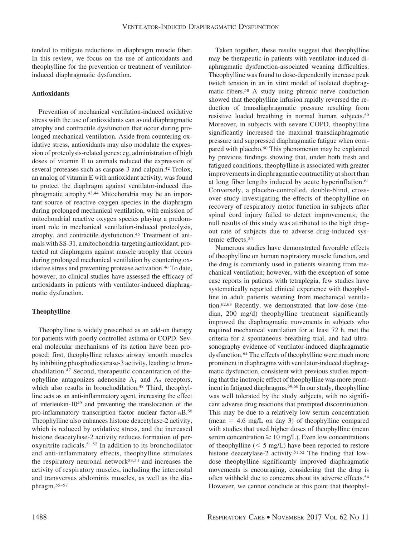tended to mitigate reductions in diaphragm muscle fiber. In this review, we focus on the use of antioxidants and theophylline for the prevention or treatment of ventilatorinduced diaphragmatic dysfunction.

## **Antioxidants**

Prevention of mechanical ventilation-induced oxidative stress with the use of antioxidants can avoid diaphragmatic atrophy and contractile dysfunction that occur during prolonged mechanical ventilation. Aside from countering oxidative stress, antioxidants may also modulate the expression of proteolysis-related genes: eg, administration of high doses of vitamin E to animals reduced the expression of several proteases such as caspase-3 and calpain.<sup>42</sup> Trolox, an analog of vitamin E with antioxidant activity, was found to protect the diaphragm against ventilator-induced diaphragmatic atrophy.43,44 Mitochondria may be an important source of reactive oxygen species in the diaphragm during prolonged mechanical ventilation, with emission of mitochondrial reactive oxygen species playing a predominant role in mechanical ventilation-induced proteolysis, atrophy, and contractile dysfunction.45 Treatment of animals with SS-31, a mitochondria-targeting antioxidant, protected rat diaphragms against muscle atrophy that occurs during prolonged mechanical ventilation by countering oxidative stress and preventing protease activation.<sup>46</sup> To date, however, no clinical studies have assessed the efficacy of antioxidants in patients with ventilator-induced diaphragmatic dysfunction.

#### **Theophylline**

Theophylline is widely prescribed as an add-on therapy for patients with poorly controlled asthma or COPD. Several molecular mechanisms of its action have been proposed: first, theophylline relaxes airway smooth muscles by inhibiting phosphodiesterase-3 activity, leading to bronchodilation.47 Second, therapeutic concentration of theophylline antagonizes adenosine  $A_1$  and  $A_2$  receptors, which also results in bronchodilation.<sup>48</sup> Third, theophylline acts as an anti-inflammatory agent, increasing the effect of interleukin-1049 and preventing the translocation of the pro-inflammatory transcription factor nuclear factor- $\kappa$ B.<sup>50</sup> Theophylline also enhances histone deacetylase-2 activity, which is reduced by oxidative stress, and the increased histone deacetylase-2 activity reduces formation of peroxynitrite radicals.51,52 In addition to its bronchodilator and anti-inflammatory effects, theophylline stimulates the respiratory neuronal network53,54 and increases the activity of respiratory muscles, including the intercostal and transversus abdominis muscles, as well as the diaphragm.55–57

Taken together, these results suggest that theophylline may be therapeutic in patients with ventilator-induced diaphragmatic dysfunction-associated weaning difficulties. Theophylline was found to dose-dependently increase peak twitch tension in an in vitro model of isolated diaphragmatic fibers.58 A study using phrenic nerve conduction showed that theophylline infusion rapidly reversed the reduction of transdiaphragmatic pressure resulting from resistive loaded breathing in normal human subjects.59 Moreover, in subjects with severe COPD, theophylline significantly increased the maximal transdiaphragmatic pressure and suppressed diaphragmatic fatigue when compared with placebo.<sup>60</sup> This phenomenon may be explained by previous findings showing that, under both fresh and fatigued conditions, theophylline is associated with greater improvements in diaphragmatic contractility at short than at long fiber lengths induced by acute hyperinflation.61 Conversely, a placebo-controlled, double-blind, crossover study investigating the effects of theophylline on recovery of respiratory motor function in subjects after spinal cord injury failed to detect improvements; the null results of this study was attributed to the high dropout rate of subjects due to adverse drug-induced systemic effects.54

Numerous studies have demonstrated favorable effects of theophylline on human respiratory muscle function, and the drug is commonly used in patients weaning from mechanical ventilation; however, with the exception of some case reports in patients with tetraplegia, few studies have systematically reported clinical experience with theophylline in adult patients weaning from mechanical ventilation.62,63 Recently, we demonstrated that low-dose (median, 200 mg/d) theophylline treatment significantly improved the diaphragmatic movements in subjects who required mechanical ventilation for at least 72 h, met the criteria for a spontaneous breathing trial, and had ultrasonography evidence of ventilator-induced diaphragmatic dysfunction.64 The effects of theophylline were much more prominent in diaphragms with ventilator-induced diaphragmatic dysfunction, consistent with previous studies reporting that the inotropic effect of theophylline was more prominent in fatigued diaphragms.59,60 In our study, theophylline was well tolerated by the study subjects, with no significant adverse drug reactions that prompted discontinuation. This may be due to a relatively low serum concentration (mean  $= 4.6$  mg/L on day 3) of theophylline compared with studies that used higher doses of theophylline (mean serum concentration  $\geq 10$  mg/L). Even low concentrations of theophylline  $(< 5 \text{ mg/L})$  have been reported to restore histone deacetylase-2 activity.<sup>51,52</sup> The finding that lowdose theophylline significantly improved diaphragmatic movements is encouraging, considering that the drug is often withheld due to concerns about its adverse effects.54 However, we cannot conclude at this point that theophyl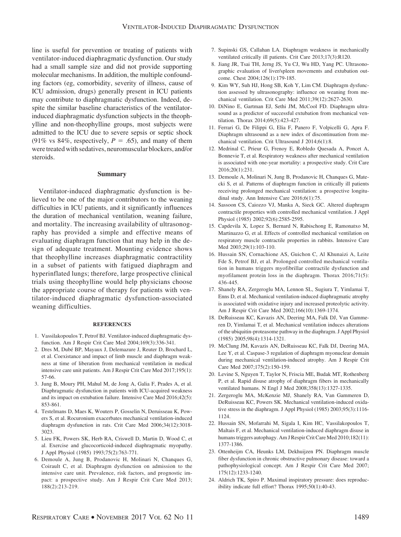line is useful for prevention or treating of patients with ventilator-induced diaphragmatic dysfunction. Our study had a small sample size and did not provide supporting molecular mechanisms. In addition, the multiple confounding factors (eg, comorbidity, severity of illness, cause of ICU admission, drugs) generally present in ICU patients may contribute to diaphragmatic dysfunction. Indeed, despite the similar baseline characteristics of the ventilatorinduced diaphragmatic dysfunction subjects in the theophylline and non-theophylline groups, most subjects were admitted to the ICU due to severe sepsis or septic shock (91% vs 84%, respectively,  $P = .65$ ), and many of them were treated with sedatives, neuromuscular blockers, and/or steroids.

#### **Summary**

Ventilator-induced diaphragmatic dysfunction is believed to be one of the major contributors to the weaning difficulties in ICU patients, and it significantly influences the duration of mechanical ventilation, weaning failure, and mortality. The increasing availability of ultrasonography has provided a simple and effective means of evaluating diaphragm function that may help in the design of adequate treatment. Mounting evidence shows that theophylline increases diaphragmatic contractility in a subset of patients with fatigued diaphragm and hyperinflated lungs; therefore, large prospective clinical trials using theophylline would help physicians choose the appropriate course of therapy for patients with ventilator-induced diaphragmatic dysfunction-associated weaning difficulties.

#### **REFERENCES**

- 1. Vassilakopoulos T, Petrof BJ. Ventilator-induced diaphragmatic dysfunction. Am J Respir Crit Care Med 2004;169(3):336-341.
- 2. Dres M, Dubé BP, Mayaux J, Delemazure J, Reuter D, Brochard L, et al. Coexistance and impact of limb muscle and diaphragm weakness at time of liberation from mechanical ventilation in medical intensive care unit patients. Am J Respir Crit Care Med 2017;195(1): 57-66.
- 3. Jung B, Moury PH, Mahul M, de Jong A, Galia F, Prades A, et al. Diaphragmatic dysfunction in patients with ICU-acquired weakness and its impact on extubation failure. Intensive Care Med 2016;42(5): 853-861.
- 4. Testelmans D, Maes K, Wouters P, Gosselin N, Deruisseau K, Powers S, et al. Rocuronium exacerbates mechanical ventilation-induced diaphragm dysfunction in rats. Crit Care Med 2006;34(12):3018- 3023.
- 5. Lieu FK, Powers SK, Herb RA, Criswell D, Martin D, Wood C, et al. Exercise and glucocorticoid-induced diaphragmatic myopathy. J Appl Physiol (1985) 1993;75(2):763-771.
- 6. Demoule A, Jung B, Prodanovic H, Molinari N, Chanques G, Coirault C, et al. Diaphragm dysfunction on admission to the intensive care unit. Prevalence, risk factors, and prognostic impact: a prospective study. Am J Respir Crit Care Med 2013; 188(2):213-219.
- 7. Supinski GS, Callahan LA. Diaphragm weakness in mechanically ventilated critically ill patients. Crit Care 2013;17(3):R120.
- 8. Jiang JR, Tsai TH, Jerng JS, Yu CJ, Wu HD, Yang PC. Ultrasonographic evaluation of liver/spleen movements and extubation outcome. Chest 2004;126(1):179-185.
- 9. Kim WY, Suh HJ, Hong SB, Koh Y, Lim CM. Diaphragm dysfunction assessed by ultrasonography: influence on weaning from mechanical ventilation. Crit Care Med 2011;39(12):2627-2630.
- 10. DiNino E, Gartman EJ, Sethi JM, McCool FD. Diaphragm ultrasound as a predictor of successful extubation from mechanical ventilation. Thorax 2014;69(5):423-427.
- 11. Ferrari G, De Filippi G, Elia F, Panero F, Volpicelli G, Apra F. Diaphragm ultrasound as a new index of discontinuation from mechanical ventilation. Crit Ultrasound J 2014;6(1):8.
- 12. Medrinal C, Prieur G, Frenoy E, Robledo Quesada A, Poncet A, Bonnevie T, et al. Respiratory weakness after mechanical ventilation is associated with one-year mortality: a prospective study. Crit Care 2016;20(1):231.
- 13. Demoule A, Molinari N, Jung B, Prodanovic H, Chanques G, Matecki S, et al. Patterns of diaphragm function in critically ill patients receiving prolonged mechanical ventilation: a prospective longitudinal study. Ann Intensive Care 2016;6(1):75.
- 14. Sassoon CS, Caiozzo VJ, Manka A, Sieck GC. Altered diaphragm contractile properties with controlled mechanical ventilation. J Appl Physiol (1985) 2002;92(6):2585-2595.
- 15. Capdevila X, Lopez S, Bernard N, Rabischong E, Ramonatxo M, Martinazzo G, et al. Effects of controlled mechanical ventilation on respiratory muscle contractile properties in rabbits. Intensive Care Med 2003;29(1):103-110.
- 16. Hussain SN, Cornachione AS, Guichon C, Al Khunaizi A, Leite Fde S, Petrof BJ, et al. Prolonged controlled mechanical ventilation in humans triggers myofibrillar contractile dysfunction and myofilament protein loss in the diaphragm. Thorax 2016;71(5): 436-445.
- 17. Shanely RA, Zergeroglu MA, Lennon SL, Sugiura T, Yimlamai T, Enns D, et al. Mechanical ventilation-induced diaphragmatic atrophy is associated with oxidative injury and increased proteolytic activity. Am J Respir Crit Care Med 2002;166(10):1369-1374.
- 18. DeRuisseau KC, Kavazis AN, Deering MA, Falk DJ, Van Gammeren D, Yimlamai T, et al. Mechanical ventilation induces alterations of the ubiquitin-proteasome pathway in the diaphragm. J Appl Physiol (1985) 2005;98(4):1314-1321.
- 19. McClung JM, Kavazis AN, DeRuisseau KC, Falk DJ, Deering MA, Lee Y, et al. Caspase-3 regulation of diaphragm myonuclear domain during mechanical ventilation-induced atrophy. Am J Respir Crit Care Med 2007;175(2):150-159.
- 20. Levine S, Nguyen T, Taylor N, Friscia ME, Budak MT, Rothenberg P, et al. Rapid disuse atrophy of diaphragm fibers in mechanically ventilated humans. N Engl J Med 2008;358(13):1327-1335.
- 21. Zergeroglu MA, McKenzie MJ, Shanely RA, Van Gammeren D, DeRuisseau KC, Powers SK. Mechanical ventilation-induced oxidative stress in the diaphragm. J Appl Physiol (1985) 2003;95(3):1116- 1124.
- 22. Hussain SN, Mofarrahi M, Sigala I, Kim HC, Vassilakopoulos T, Maltais F, et al. Mechanical ventilation-induced diaphragm disuse in humans triggers autophagy. Am J Respir Crit Care Med 2010;182(11): 1377-1386.
- 23. Ottenheijm CA, Heunks LM, Dekhuijzen PN. Diaphragm muscle fiber dysfunction in chronic obstructive pulmonary disease: toward a pathophysiological concept. Am J Respir Crit Care Med 2007; 175(12):1233-1240.
- 24. Aldrich TK, Spiro P. Maximal inspiratory pressure: does reproducibility indicate full effort? Thorax 1995;50(1):40-43.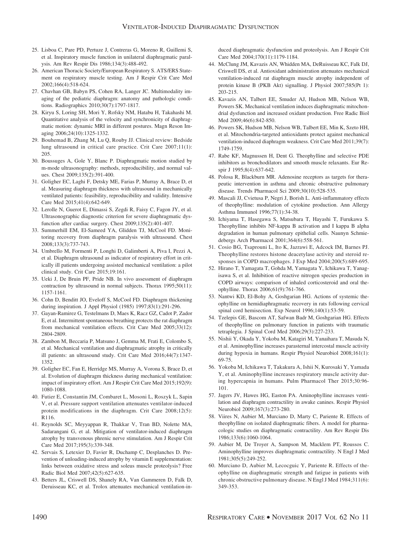- 25. Lisboa C, Pare PD, Pertuze J, Contreras G, Moreno R, Guillemi S, et al. Inspiratory muscle function in unilateral diaphragmatic paralysis. Am Rev Respir Dis 1986;134(3):488-492.
- 26. American Thoracic Society/European Respiratory S. ATS/ERS Statement on respiratory muscle testing. Am J Respir Crit Care Med 2002;166(4):518-624.
- 27. Chavhan GB, Babyn PS, Cohen RA, Langer JC. Multimodality imaging of the pediatric diaphragm: anatomy and pathologic conditions. Radiographics 2010;30(7):1797-1817.
- 28. Kiryu S, Loring SH, Mori Y, Rofsky NM, Hatabu H, Takahashi M. Quantitative analysis of the velocity and synchronicity of diaphragmatic motion: dynamic MRI in different postures. Magn Reson Imaging 2006;24(10):1325-1332.
- 29. Bouhemad B, Zhang M, Lu Q, Rouby JJ. Clinical review: Bedside lung ultrasound in critical care practice. Crit Care 2007;11(1): 205.
- 30. Boussuges A, Gole Y, Blanc P. Diaphragmatic motion studied by m-mode ultrasonography: methods, reproducibility, and normal values. Chest 2009;135(2):391-400.
- 31. Goligher EC, Laghi F, Detsky ME, Farias P, Murray A, Brace D, et al. Measuring diaphragm thickness with ultrasound in mechanically ventilated patients: feasibility, reproducibility and validity. Intensive Care Med 2015;41(4):642-649.
- 32. Lerolle N, Guerot E, Dimassi S, Zegdi R, Faisy C, Fagon JY, et al. Ultrasonographic diagnostic criterion for severe diaphragmatic dysfunction after cardiac surgery. Chest 2009;135(2):401-407.
- 33. Summerhill EM, El-Sameed YA, Glidden TJ, McCool FD. Monitoring recovery from diaphragm paralysis with ultrasound. Chest 2008;133(3):737-743.
- 34. Umbrello M, Formenti P, Longhi D, Galimberti A, Piva I, Pezzi A, et al. Diaphragm ultrasound as indicator of respiratory effort in critically ill patients undergoing assisted mechanical ventilation: a pilot clinical study. Crit Care 2015;19:161.
- 35. Ueki J, De Bruin PF, Pride NB. In vivo assessment of diaphragm contraction by ultrasound in normal subjects. Thorax 1995;50(11): 1157-1161.
- 36. Cohn D, Benditt JO, Eveloff S, McCool FD. Diaphragm thickening during inspiration. J Appl Physiol (1985) 1997;83(1):291-296.
- 37. Gayan-Ramirez G, Testelmans D, Maes K, Racz GZ, Cadot P, Zador E, et al. Intermittent spontaneous breathing protects the rat diaphragm from mechanical ventilation effects. Crit Care Med 2005;33(12): 2804-2809.
- 38. Zambon M, Beccaria P, Matsuno J, Gemma M, Frati E, Colombo S, et al. Mechanical ventilation and diaphragmatic atrophy in critically ill patients: an ultrasound study. Crit Care Med 2016;44(7):1347- 1352.
- 39. Goligher EC, Fan E, Herridge MS, Murray A, Vorona S, Brace D, et al. Evolution of diaphragm thickness during mechanical ventilation: impact of inspiratory effort. Am J Respir Crit Care Med 2015;192(9): 1080-1088.
- 40. Futier E, Constantin JM, Combaret L, Mosoni L, Roszyk L, Sapin V, et al. Pressure support ventilation attenuates ventilator-induced protein modifications in the diaphragm. Crit Care 2008;12(5): R116.
- 41. Reynolds SC, Meyyappan R, Thakkar V, Tran BD, Nolette MA, Sadarangani G, et al. Mitigation of ventilator-induced diaphragm atrophy by transvenous phrenic nerve stimulation. Am J Respir Crit Care Med 2017;195(3):339-348.
- 42. Servais S, Letexier D, Favier R, Duchamp C, Desplanches D. Prevention of unloading-induced atrophy by vitamin E supplementation: links between oxidative stress and soleus muscle proteolysis? Free Radic Biol Med 2007;42(5):627-635.
- 43. Betters JL, Criswell DS, Shanely RA, Van Gammeren D, Falk D, Deruisseau KC, et al. Trolox attenuates mechanical ventilation-in-

duced diaphragmatic dysfunction and proteolysis. Am J Respir Crit Care Med 2004;170(11):1179-1184.

- 44. McClung JM, Kavazis AN, Whidden MA, DeRuisseau KC, Falk DJ, Criswell DS, et al. Antioxidant administration attenuates mechanical ventilation-induced rat diaphragm muscle atrophy independent of protein kinase B (PKB Akt) signalling. J Physiol 2007;585(Pt 1): 203-215.
- 45. Kavazis AN, Talbert EE, Smuder AJ, Hudson MB, Nelson WB, Powers SK. Mechanical ventilation induces diaphragmatic mitochondrial dysfunction and increased oxidant production. Free Radic Biol Med 2009;46(6):842-850.
- 46. Powers SK, Hudson MB, Nelson WB, Talbert EE, Min K, Szeto HH, et al. Mitochondria-targeted antioxidants protect against mechanical ventilation-induced diaphragm weakness. Crit Care Med 2011;39(7): 1749-1759.
- 47. Rabe KF, Magnussen H, Dent G. Theophylline and selective PDE inhibitors as bronchodilators and smooth muscle relaxants. Eur Respir J 1995;8(4):637-642.
- 48. Polosa R, Blackburn MR. Adenosine receptors as targets for therapeutic intervention in asthma and chronic obstructive pulmonary disease. Trends Pharmacol Sci 2009;30(10):528-535.
- 49. Mascali JJ, Cvietusa P, Negri J, Borish L. Anti-inflammatory effects of theophylline: modulation of cytokine production. Ann Allergy Asthma Immunol 1996;77(1):34-38.
- 50. Ichiyama T, Hasegawa S, Matsubara T, Hayashi T, Furukawa S. Theophylline inhibits NF-kappa B activation and I kappa B alpha degradation in human pulmonary epithelial cells. Naunyn Schmiedebergs Arch Pharmacol 2001;364(6):558-561.
- 51. Cosio BG, Tsaprouni L, Ito K, Jazrawi E, Adcock IM, Barnes PJ. Theophylline restores histone deacetylase activity and steroid responses in COPD macrophages. J Exp Med 2004;200(5):689-695.
- 52. Hirano T, Yamagata T, Gohda M, Yamagata Y, Ichikawa T, Yanagisawa S, et al. Inhibition of reactive nitrogen species production in COPD airways: comparison of inhaled corticosteroid and oral theophylline. Thorax 2006;61(9):761-766.
- 53. Nantwi KD, El-Bohy A, Goshgarian HG. Actions of systemic theophylline on hemidiaphragmatic recovery in rats following cervical spinal cord hemisection. Exp Neurol 1996;140(1):53-59.
- 54. Tzelepis GE, Bascom AT, Safwan Badr M, Goshgarian HG. Effects of theophylline on pulmonary function in patients with traumatic tetraplegia. J Spinal Cord Med 2006;29(3):227-233.
- 55. Nishii Y, Okada Y, Yokoba M, Katagiri M, Yanaihara T, Masuda N, et al. Aminophylline increases parasternal intercostal muscle activity during hypoxia in humans. Respir Physiol Neurobiol 2008;161(1): 69-75.
- 56. Yokoba M, Ichikawa T, Takakura A, Ishii N, Kurosaki Y, Yamada Y, et al. Aminophylline increases respiratory muscle activity during hypercapnia in humans. Pulm Pharmacol Ther 2015;30:96- 101.
- 57. Jagers JV, Hawes HG, Easton PA. Aminophylline increases ventilation and diaphragm contractility in awake canines. Respir Physiol Neurobiol 2009;167(3):273-280.
- 58. Viires N, Aubier M, Murciano D, Marty C, Pariente R. Effects of theophylline on isolated diaphragmatic fibers. A model for pharmacologic studies on diaphragmatic contractility. Am Rev Respir Dis 1986;133(6):1060-1064.
- 59. Aubier M, De Troyer A, Sampson M, Macklem PT, Roussos C. Aminophylline improves diaphragmatic contractility. N Engl J Med 1981;305(5):249-252.
- 60. Murciano D, Aubier M, Lecocguic Y, Pariente R. Effects of theophylline on diaphragmatic strength and fatigue in patients with chronic obstructive pulmonary disease. N Engl J Med 1984;311(6): 349-353.